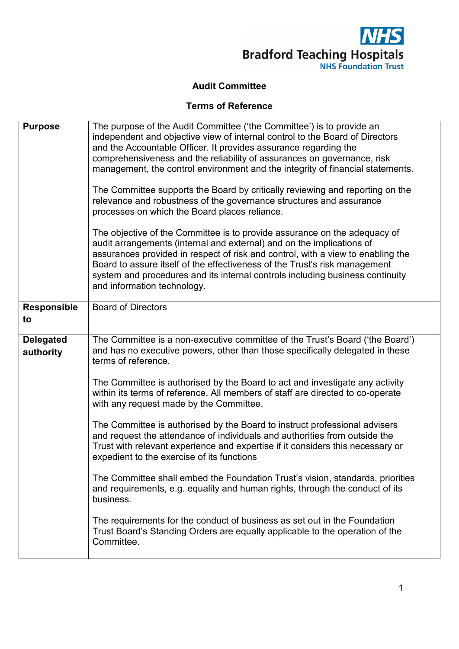

## **Audit Committee**

## **Terms of Reference**

| <b>Purpose</b>                | The purpose of the Audit Committee ('the Committee') is to provide an<br>independent and objective view of internal control to the Board of Directors<br>and the Accountable Officer. It provides assurance regarding the<br>comprehensiveness and the reliability of assurances on governance, risk<br>management, the control environment and the integrity of financial statements.<br>The Committee supports the Board by critically reviewing and reporting on the<br>relevance and robustness of the governance structures and assurance<br>processes on which the Board places reliance.<br>The objective of the Committee is to provide assurance on the adequacy of<br>audit arrangements (internal and external) and on the implications of<br>assurances provided in respect of risk and control, with a view to enabling the<br>Board to assure itself of the effectiveness of the Trust's risk management<br>system and procedures and its internal controls including business continuity<br>and information technology. |
|-------------------------------|----------------------------------------------------------------------------------------------------------------------------------------------------------------------------------------------------------------------------------------------------------------------------------------------------------------------------------------------------------------------------------------------------------------------------------------------------------------------------------------------------------------------------------------------------------------------------------------------------------------------------------------------------------------------------------------------------------------------------------------------------------------------------------------------------------------------------------------------------------------------------------------------------------------------------------------------------------------------------------------------------------------------------------------|
| <b>Responsible</b><br>to      | <b>Board of Directors</b>                                                                                                                                                                                                                                                                                                                                                                                                                                                                                                                                                                                                                                                                                                                                                                                                                                                                                                                                                                                                              |
| <b>Delegated</b><br>authority | The Committee is a non-executive committee of the Trust's Board ('the Board')<br>and has no executive powers, other than those specifically delegated in these<br>terms of reference.                                                                                                                                                                                                                                                                                                                                                                                                                                                                                                                                                                                                                                                                                                                                                                                                                                                  |
|                               | The Committee is authorised by the Board to act and investigate any activity<br>within its terms of reference. All members of staff are directed to co-operate<br>with any request made by the Committee.                                                                                                                                                                                                                                                                                                                                                                                                                                                                                                                                                                                                                                                                                                                                                                                                                              |
|                               | The Committee is authorised by the Board to instruct professional advisers<br>and request the attendance of individuals and authorities from outside the<br>Trust with relevant experience and expertise if it considers this necessary or<br>expedient to the exercise of its functions                                                                                                                                                                                                                                                                                                                                                                                                                                                                                                                                                                                                                                                                                                                                               |
|                               | The Committee shall embed the Foundation Trust's vision, standards, priorities<br>and requirements, e.g. equality and human rights, through the conduct of its<br>business.                                                                                                                                                                                                                                                                                                                                                                                                                                                                                                                                                                                                                                                                                                                                                                                                                                                            |
|                               | The requirements for the conduct of business as set out in the Foundation<br>Trust Board's Standing Orders are equally applicable to the operation of the<br>Committee.                                                                                                                                                                                                                                                                                                                                                                                                                                                                                                                                                                                                                                                                                                                                                                                                                                                                |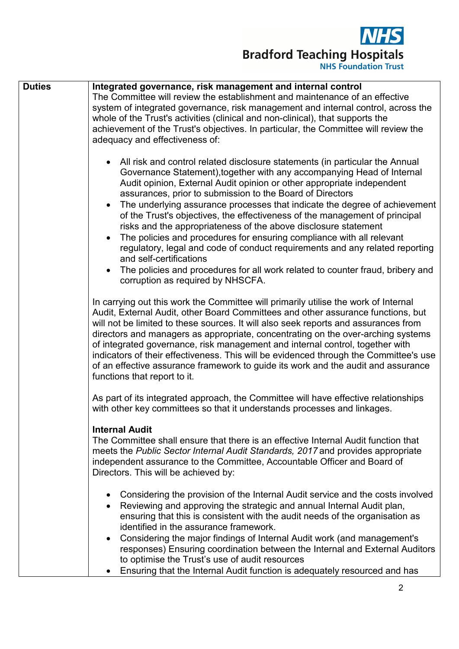

| <b>Duties</b> | Integrated governance, risk management and internal control<br>The Committee will review the establishment and maintenance of an effective<br>system of integrated governance, risk management and internal control, across the<br>whole of the Trust's activities (clinical and non-clinical), that supports the<br>achievement of the Trust's objectives. In particular, the Committee will review the<br>adequacy and effectiveness of:                                                                                                                                                                                                                                                                                                                                                                                                 |
|---------------|--------------------------------------------------------------------------------------------------------------------------------------------------------------------------------------------------------------------------------------------------------------------------------------------------------------------------------------------------------------------------------------------------------------------------------------------------------------------------------------------------------------------------------------------------------------------------------------------------------------------------------------------------------------------------------------------------------------------------------------------------------------------------------------------------------------------------------------------|
|               | • All risk and control related disclosure statements (in particular the Annual<br>Governance Statement), together with any accompanying Head of Internal<br>Audit opinion, External Audit opinion or other appropriate independent<br>assurances, prior to submission to the Board of Directors<br>The underlying assurance processes that indicate the degree of achievement<br>of the Trust's objectives, the effectiveness of the management of principal<br>risks and the appropriateness of the above disclosure statement<br>The policies and procedures for ensuring compliance with all relevant<br>regulatory, legal and code of conduct requirements and any related reporting<br>and self-certifications<br>The policies and procedures for all work related to counter fraud, bribery and<br>corruption as required by NHSCFA. |
|               | In carrying out this work the Committee will primarily utilise the work of Internal<br>Audit, External Audit, other Board Committees and other assurance functions, but<br>will not be limited to these sources. It will also seek reports and assurances from<br>directors and managers as appropriate, concentrating on the over-arching systems<br>of integrated governance, risk management and internal control, together with<br>indicators of their effectiveness. This will be evidenced through the Committee's use<br>of an effective assurance framework to guide its work and the audit and assurance<br>functions that report to it.                                                                                                                                                                                          |
|               | As part of its integrated approach, the Committee will have effective relationships<br>with other key committees so that it understands processes and linkages.                                                                                                                                                                                                                                                                                                                                                                                                                                                                                                                                                                                                                                                                            |
|               | <b>Internal Audit</b><br>The Committee shall ensure that there is an effective Internal Audit function that<br>meets the Public Sector Internal Audit Standards, 2017 and provides appropriate<br>independent assurance to the Committee, Accountable Officer and Board of<br>Directors. This will be achieved by:                                                                                                                                                                                                                                                                                                                                                                                                                                                                                                                         |
|               | Considering the provision of the Internal Audit service and the costs involved<br>$\bullet$<br>Reviewing and approving the strategic and annual Internal Audit plan,<br>ensuring that this is consistent with the audit needs of the organisation as<br>identified in the assurance framework.<br>Considering the major findings of Internal Audit work (and management's<br>٠<br>responses) Ensuring coordination between the Internal and External Auditors<br>to optimise the Trust's use of audit resources<br>Ensuring that the Internal Audit function is adequately resourced and has                                                                                                                                                                                                                                               |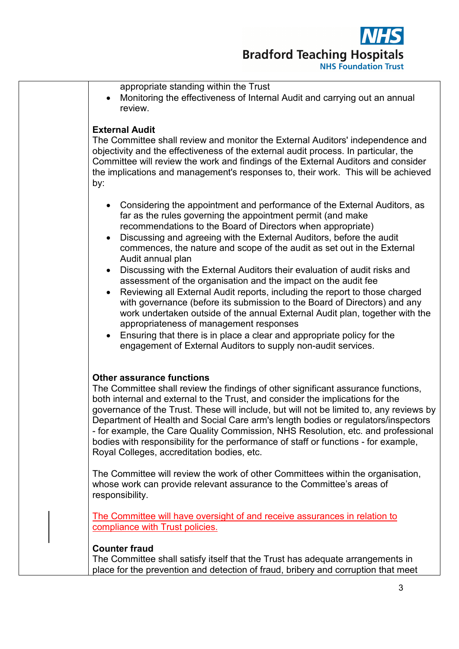| appropriate standing within the Trust<br>Monitoring the effectiveness of Internal Audit and carrying out an annual<br>review.                                                                                                                                                                                                                                                                                                                                                                                                                                                                                                                                                                                                                                                                                                                                                                                                                                   |
|-----------------------------------------------------------------------------------------------------------------------------------------------------------------------------------------------------------------------------------------------------------------------------------------------------------------------------------------------------------------------------------------------------------------------------------------------------------------------------------------------------------------------------------------------------------------------------------------------------------------------------------------------------------------------------------------------------------------------------------------------------------------------------------------------------------------------------------------------------------------------------------------------------------------------------------------------------------------|
| <b>External Audit</b><br>The Committee shall review and monitor the External Auditors' independence and<br>objectivity and the effectiveness of the external audit process. In particular, the<br>Committee will review the work and findings of the External Auditors and consider<br>the implications and management's responses to, their work. This will be achieved<br>by:                                                                                                                                                                                                                                                                                                                                                                                                                                                                                                                                                                                 |
| Considering the appointment and performance of the External Auditors, as<br>far as the rules governing the appointment permit (and make<br>recommendations to the Board of Directors when appropriate)<br>Discussing and agreeing with the External Auditors, before the audit<br>commences, the nature and scope of the audit as set out in the External<br>Audit annual plan<br>Discussing with the External Auditors their evaluation of audit risks and<br>assessment of the organisation and the impact on the audit fee<br>Reviewing all External Audit reports, including the report to those charged<br>with governance (before its submission to the Board of Directors) and any<br>work undertaken outside of the annual External Audit plan, together with the<br>appropriateness of management responses<br>Ensuring that there is in place a clear and appropriate policy for the<br>engagement of External Auditors to supply non-audit services. |
| <b>Other assurance functions</b><br>The Committee shall review the findings of other significant assurance functions,<br>both internal and external to the Trust, and consider the implications for the<br>governance of the Trust. These will include, but will not be limited to, any reviews by<br>Department of Health and Social Care arm's length bodies or regulators/inspectors<br>- for example, the Care Quality Commission, NHS Resolution, etc. and professional<br>bodies with responsibility for the performance of staff or functions - for example,<br>Royal Colleges, accreditation bodies, etc.<br>The Committee will review the work of other Committees within the organisation,<br>whose work can provide relevant assurance to the Committee's areas of                                                                                                                                                                                   |
| responsibility.<br>The Committee will have oversight of and receive assurances in relation to<br>compliance with Trust policies.                                                                                                                                                                                                                                                                                                                                                                                                                                                                                                                                                                                                                                                                                                                                                                                                                                |
| <b>Counter fraud</b><br>The Committee shall satisfy itself that the Trust has adequate arrangements in<br>place for the prevention and detection of fraud, bribery and corruption that meet                                                                                                                                                                                                                                                                                                                                                                                                                                                                                                                                                                                                                                                                                                                                                                     |
|                                                                                                                                                                                                                                                                                                                                                                                                                                                                                                                                                                                                                                                                                                                                                                                                                                                                                                                                                                 |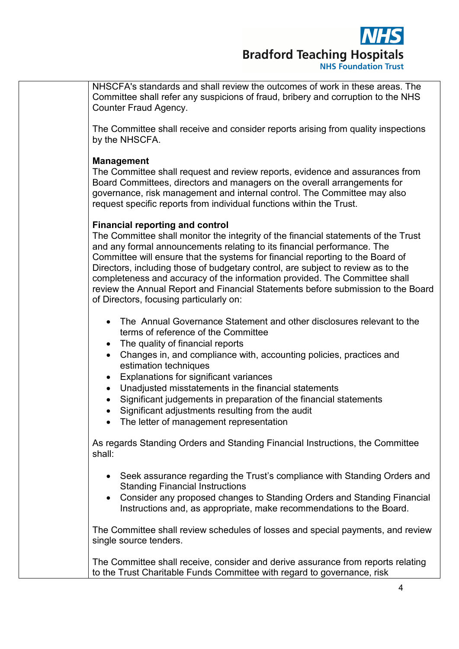

NHSCFA's standards and shall review the outcomes of work in these areas. The Committee shall refer any suspicions of fraud, bribery and corruption to the NHS Counter Fraud Agency.

The Committee shall receive and consider reports arising from quality inspections by the NHSCFA.

## **Management**

The Committee shall request and review reports, evidence and assurances from Board Committees, directors and managers on the overall arrangements for governance, risk management and internal control. The Committee may also request specific reports from individual functions within the Trust.

## **Financial reporting and control**

The Committee shall monitor the integrity of the financial statements of the Trust and any formal announcements relating to its financial performance. The Committee will ensure that the systems for financial reporting to the Board of Directors, including those of budgetary control, are subject to review as to the completeness and accuracy of the information provided. The Committee shall review the Annual Report and Financial Statements before submission to the Board of Directors, focusing particularly on:

- The Annual Governance Statement and other disclosures relevant to the terms of reference of the Committee
- The quality of financial reports
- Changes in, and compliance with, accounting policies, practices and estimation techniques
- Explanations for significant variances
- Unadjusted misstatements in the financial statements
- Significant judgements in preparation of the financial statements
- Significant adjustments resulting from the audit
- The letter of management representation

As regards Standing Orders and Standing Financial Instructions, the Committee shall:

- Seek assurance regarding the Trust's compliance with Standing Orders and Standing Financial Instructions
- Consider any proposed changes to Standing Orders and Standing Financial Instructions and, as appropriate, make recommendations to the Board.

The Committee shall review schedules of losses and special payments, and review single source tenders.

The Committee shall receive, consider and derive assurance from reports relating to the Trust Charitable Funds Committee with regard to governance, risk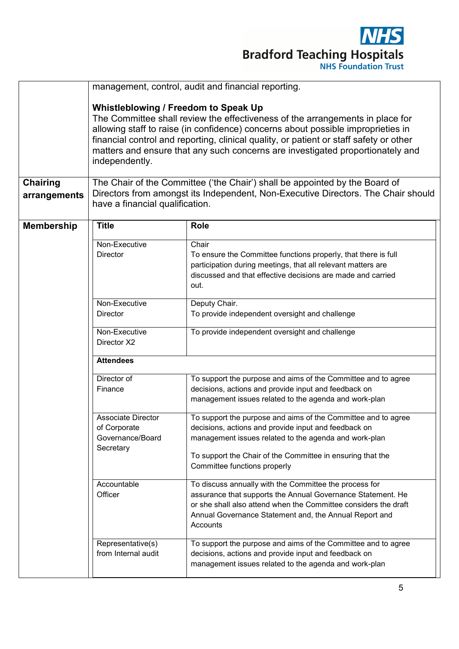

|                                 | management, control, audit and financial reporting.                                                                                                                                                                                                                                                                                                                                                     |                                                                                                                                                                                                                |  |  |
|---------------------------------|---------------------------------------------------------------------------------------------------------------------------------------------------------------------------------------------------------------------------------------------------------------------------------------------------------------------------------------------------------------------------------------------------------|----------------------------------------------------------------------------------------------------------------------------------------------------------------------------------------------------------------|--|--|
|                                 | Whistleblowing / Freedom to Speak Up<br>The Committee shall review the effectiveness of the arrangements in place for<br>allowing staff to raise (in confidence) concerns about possible improprieties in<br>financial control and reporting, clinical quality, or patient or staff safety or other<br>matters and ensure that any such concerns are investigated proportionately and<br>independently. |                                                                                                                                                                                                                |  |  |
| <b>Chairing</b><br>arrangements | The Chair of the Committee ('the Chair') shall be appointed by the Board of<br>Directors from amongst its Independent, Non-Executive Directors. The Chair should<br>have a financial qualification.                                                                                                                                                                                                     |                                                                                                                                                                                                                |  |  |
| <b>Membership</b>               | <b>Title</b>                                                                                                                                                                                                                                                                                                                                                                                            | <b>Role</b>                                                                                                                                                                                                    |  |  |
|                                 | Non-Executive<br>Director                                                                                                                                                                                                                                                                                                                                                                               | Chair<br>To ensure the Committee functions properly, that there is full<br>participation during meetings, that all relevant matters are<br>discussed and that effective decisions are made and carried<br>out. |  |  |
|                                 | Non-Executive                                                                                                                                                                                                                                                                                                                                                                                           | Deputy Chair.                                                                                                                                                                                                  |  |  |
|                                 | <b>Director</b>                                                                                                                                                                                                                                                                                                                                                                                         | To provide independent oversight and challenge                                                                                                                                                                 |  |  |
|                                 | Non-Executive<br>Director X2                                                                                                                                                                                                                                                                                                                                                                            | To provide independent oversight and challenge                                                                                                                                                                 |  |  |
|                                 | <b>Attendees</b>                                                                                                                                                                                                                                                                                                                                                                                        |                                                                                                                                                                                                                |  |  |
|                                 | Director of                                                                                                                                                                                                                                                                                                                                                                                             | To support the purpose and aims of the Committee and to agree                                                                                                                                                  |  |  |
|                                 | Finance                                                                                                                                                                                                                                                                                                                                                                                                 | decisions, actions and provide input and feedback on                                                                                                                                                           |  |  |
|                                 |                                                                                                                                                                                                                                                                                                                                                                                                         | management issues related to the agenda and work-plan                                                                                                                                                          |  |  |
|                                 | Associate Director                                                                                                                                                                                                                                                                                                                                                                                      | To support the purpose and aims of the Committee and to agree                                                                                                                                                  |  |  |
|                                 | of Corporate                                                                                                                                                                                                                                                                                                                                                                                            | decisions, actions and provide input and feedback on                                                                                                                                                           |  |  |
|                                 | Governance/Board                                                                                                                                                                                                                                                                                                                                                                                        | management issues related to the agenda and work-plan                                                                                                                                                          |  |  |
|                                 | Secretary                                                                                                                                                                                                                                                                                                                                                                                               | To support the Chair of the Committee in ensuring that the<br>Committee functions properly                                                                                                                     |  |  |
|                                 | Accountable                                                                                                                                                                                                                                                                                                                                                                                             | To discuss annually with the Committee the process for                                                                                                                                                         |  |  |
|                                 | Officer                                                                                                                                                                                                                                                                                                                                                                                                 | assurance that supports the Annual Governance Statement. He<br>or she shall also attend when the Committee considers the draft<br>Annual Governance Statement and, the Annual Report and<br>Accounts           |  |  |
|                                 | Representative(s)<br>from Internal audit                                                                                                                                                                                                                                                                                                                                                                | To support the purpose and aims of the Committee and to agree<br>decisions, actions and provide input and feedback on<br>management issues related to the agenda and work-plan                                 |  |  |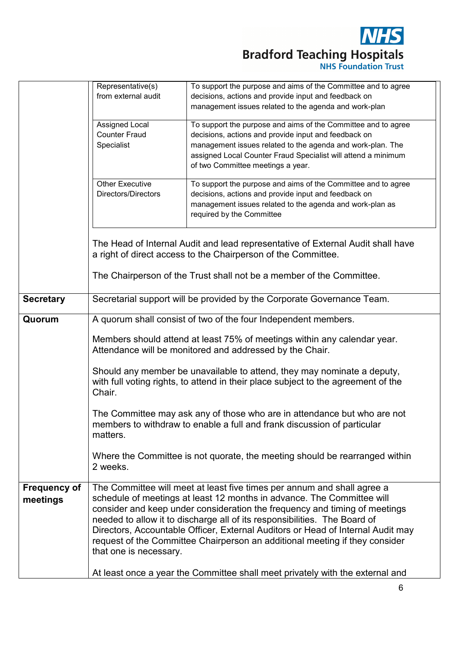

|                                 | Representative(s)                                                                                                                                                                                                                                                                                                                                                                                                                                                                 | To support the purpose and aims of the Committee and to agree                 |  |  |
|---------------------------------|-----------------------------------------------------------------------------------------------------------------------------------------------------------------------------------------------------------------------------------------------------------------------------------------------------------------------------------------------------------------------------------------------------------------------------------------------------------------------------------|-------------------------------------------------------------------------------|--|--|
|                                 | from external audit                                                                                                                                                                                                                                                                                                                                                                                                                                                               | decisions, actions and provide input and feedback on                          |  |  |
|                                 |                                                                                                                                                                                                                                                                                                                                                                                                                                                                                   | management issues related to the agenda and work-plan                         |  |  |
|                                 |                                                                                                                                                                                                                                                                                                                                                                                                                                                                                   |                                                                               |  |  |
|                                 | Assigned Local                                                                                                                                                                                                                                                                                                                                                                                                                                                                    | To support the purpose and aims of the Committee and to agree                 |  |  |
|                                 | <b>Counter Fraud</b>                                                                                                                                                                                                                                                                                                                                                                                                                                                              | decisions, actions and provide input and feedback on                          |  |  |
|                                 | Specialist                                                                                                                                                                                                                                                                                                                                                                                                                                                                        | management issues related to the agenda and work-plan. The                    |  |  |
|                                 |                                                                                                                                                                                                                                                                                                                                                                                                                                                                                   | assigned Local Counter Fraud Specialist will attend a minimum                 |  |  |
|                                 |                                                                                                                                                                                                                                                                                                                                                                                                                                                                                   | of two Committee meetings a year.                                             |  |  |
|                                 |                                                                                                                                                                                                                                                                                                                                                                                                                                                                                   |                                                                               |  |  |
|                                 | <b>Other Executive</b>                                                                                                                                                                                                                                                                                                                                                                                                                                                            | To support the purpose and aims of the Committee and to agree                 |  |  |
|                                 | <b>Directors/Directors</b>                                                                                                                                                                                                                                                                                                                                                                                                                                                        | decisions, actions and provide input and feedback on                          |  |  |
|                                 |                                                                                                                                                                                                                                                                                                                                                                                                                                                                                   | management issues related to the agenda and work-plan as                      |  |  |
|                                 |                                                                                                                                                                                                                                                                                                                                                                                                                                                                                   |                                                                               |  |  |
|                                 |                                                                                                                                                                                                                                                                                                                                                                                                                                                                                   | required by the Committee                                                     |  |  |
|                                 |                                                                                                                                                                                                                                                                                                                                                                                                                                                                                   |                                                                               |  |  |
|                                 | The Head of Internal Audit and lead representative of External Audit shall have                                                                                                                                                                                                                                                                                                                                                                                                   |                                                                               |  |  |
|                                 |                                                                                                                                                                                                                                                                                                                                                                                                                                                                                   | a right of direct access to the Chairperson of the Committee.                 |  |  |
|                                 |                                                                                                                                                                                                                                                                                                                                                                                                                                                                                   | The Chairperson of the Trust shall not be a member of the Committee.          |  |  |
| <b>Secretary</b>                | Secretarial support will be provided by the Corporate Governance Team.                                                                                                                                                                                                                                                                                                                                                                                                            |                                                                               |  |  |
| Quorum                          | A quorum shall consist of two of the four Independent members.                                                                                                                                                                                                                                                                                                                                                                                                                    |                                                                               |  |  |
|                                 | Members should attend at least 75% of meetings within any calendar year.<br>Attendance will be monitored and addressed by the Chair.<br>Should any member be unavailable to attend, they may nominate a deputy,<br>with full voting rights, to attend in their place subject to the agreement of the<br>Chair.<br>The Committee may ask any of those who are in attendance but who are not<br>members to withdraw to enable a full and frank discussion of particular<br>matters. |                                                                               |  |  |
|                                 |                                                                                                                                                                                                                                                                                                                                                                                                                                                                                   |                                                                               |  |  |
|                                 |                                                                                                                                                                                                                                                                                                                                                                                                                                                                                   |                                                                               |  |  |
|                                 | Where the Committee is not quorate, the meeting should be rearranged within<br>2 weeks.                                                                                                                                                                                                                                                                                                                                                                                           |                                                                               |  |  |
| <b>Frequency of</b><br>meetings | The Committee will meet at least five times per annum and shall agree a<br>schedule of meetings at least 12 months in advance. The Committee will<br>consider and keep under consideration the frequency and timing of meetings<br>needed to allow it to discharge all of its responsibilities. The Board of                                                                                                                                                                      |                                                                               |  |  |
|                                 | Directors, Accountable Officer, External Auditors or Head of Internal Audit may<br>request of the Committee Chairperson an additional meeting if they consider<br>that one is necessary.                                                                                                                                                                                                                                                                                          |                                                                               |  |  |
|                                 |                                                                                                                                                                                                                                                                                                                                                                                                                                                                                   | At least once a year the Committee shall meet privately with the external and |  |  |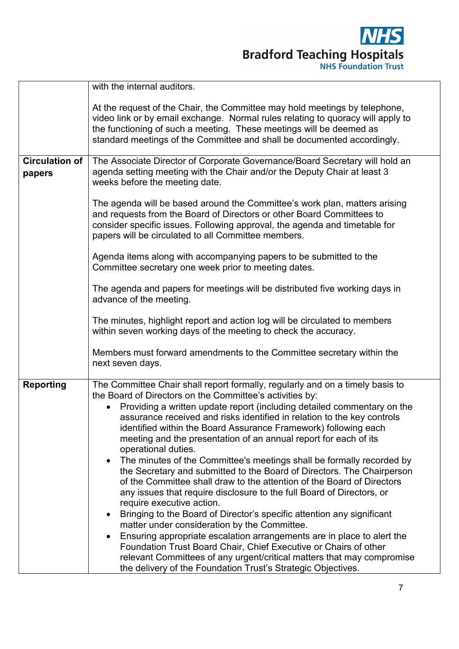

|                                 | with the internal auditors.                                                                                                                                                                                                                                                                                                                                                                                                                                                                                                                                                                                                                                                                                                                                                                                                                                                                                                                                                                                                                                                                                                                                                                                        |  |  |
|---------------------------------|--------------------------------------------------------------------------------------------------------------------------------------------------------------------------------------------------------------------------------------------------------------------------------------------------------------------------------------------------------------------------------------------------------------------------------------------------------------------------------------------------------------------------------------------------------------------------------------------------------------------------------------------------------------------------------------------------------------------------------------------------------------------------------------------------------------------------------------------------------------------------------------------------------------------------------------------------------------------------------------------------------------------------------------------------------------------------------------------------------------------------------------------------------------------------------------------------------------------|--|--|
|                                 | At the request of the Chair, the Committee may hold meetings by telephone,<br>video link or by email exchange. Normal rules relating to quoracy will apply to<br>the functioning of such a meeting. These meetings will be deemed as<br>standard meetings of the Committee and shall be documented accordingly.                                                                                                                                                                                                                                                                                                                                                                                                                                                                                                                                                                                                                                                                                                                                                                                                                                                                                                    |  |  |
| <b>Circulation of</b><br>papers | The Associate Director of Corporate Governance/Board Secretary will hold an<br>agenda setting meeting with the Chair and/or the Deputy Chair at least 3<br>weeks before the meeting date.                                                                                                                                                                                                                                                                                                                                                                                                                                                                                                                                                                                                                                                                                                                                                                                                                                                                                                                                                                                                                          |  |  |
|                                 | The agenda will be based around the Committee's work plan, matters arising<br>and requests from the Board of Directors or other Board Committees to<br>consider specific issues. Following approval, the agenda and timetable for<br>papers will be circulated to all Committee members.                                                                                                                                                                                                                                                                                                                                                                                                                                                                                                                                                                                                                                                                                                                                                                                                                                                                                                                           |  |  |
|                                 | Agenda items along with accompanying papers to be submitted to the<br>Committee secretary one week prior to meeting dates.                                                                                                                                                                                                                                                                                                                                                                                                                                                                                                                                                                                                                                                                                                                                                                                                                                                                                                                                                                                                                                                                                         |  |  |
|                                 | The agenda and papers for meetings will be distributed five working days in<br>advance of the meeting.                                                                                                                                                                                                                                                                                                                                                                                                                                                                                                                                                                                                                                                                                                                                                                                                                                                                                                                                                                                                                                                                                                             |  |  |
|                                 | The minutes, highlight report and action log will be circulated to members<br>within seven working days of the meeting to check the accuracy.                                                                                                                                                                                                                                                                                                                                                                                                                                                                                                                                                                                                                                                                                                                                                                                                                                                                                                                                                                                                                                                                      |  |  |
|                                 | Members must forward amendments to the Committee secretary within the<br>next seven days.                                                                                                                                                                                                                                                                                                                                                                                                                                                                                                                                                                                                                                                                                                                                                                                                                                                                                                                                                                                                                                                                                                                          |  |  |
| <b>Reporting</b>                | The Committee Chair shall report formally, regularly and on a timely basis to<br>the Board of Directors on the Committee's activities by:<br>Providing a written update report (including detailed commentary on the<br>assurance received and risks identified in relation to the key controls<br>identified within the Board Assurance Framework) following each<br>meeting and the presentation of an annual report for each of its<br>operational duties.<br>The minutes of the Committee's meetings shall be formally recorded by<br>the Secretary and submitted to the Board of Directors. The Chairperson<br>of the Committee shall draw to the attention of the Board of Directors<br>any issues that require disclosure to the full Board of Directors, or<br>require executive action.<br>Bringing to the Board of Director's specific attention any significant<br>matter under consideration by the Committee.<br>Ensuring appropriate escalation arrangements are in place to alert the<br>Foundation Trust Board Chair, Chief Executive or Chairs of other<br>relevant Committees of any urgent/critical matters that may compromise<br>the delivery of the Foundation Trust's Strategic Objectives. |  |  |